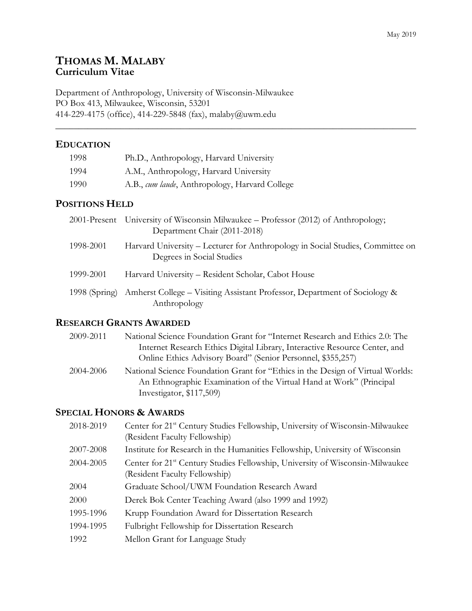# **THOMAS M. MALABY Curriculum Vitae**

Department of Anthropology, University of Wisconsin-Milwaukee PO Box 413, Milwaukee, Wisconsin, 53201 414-229-4175 (office), 414-229-5848 (fax), malaby@uwm.edu

## **EDUCATION**

| 1998 | Ph.D., Anthropology, Harvard University        |
|------|------------------------------------------------|
| 1994 | A.M., Anthropology, Harvard University         |
| 1990 | A.B., cum laude, Anthropology, Harvard College |

# **POSITIONS HELD**

|               | 2001-Present University of Wisconsin Milwaukee – Professor (2012) of Anthropology;<br>Department Chair (2011-2018) |
|---------------|--------------------------------------------------------------------------------------------------------------------|
| 1998-2001     | Harvard University – Lecturer for Anthropology in Social Studies, Committee on<br>Degrees in Social Studies        |
| 1999-2001     | Harvard University – Resident Scholar, Cabot House                                                                 |
| 1998 (Spring) | Amherst College – Visiting Assistant Professor, Department of Sociology &<br>Anthropology                          |

\_\_\_\_\_\_\_\_\_\_\_\_\_\_\_\_\_\_\_\_\_\_\_\_\_\_\_\_\_\_\_\_\_\_\_\_\_\_\_\_\_\_\_\_\_\_\_\_\_\_\_\_\_\_\_\_\_\_\_\_\_\_\_\_\_\_\_\_\_\_\_\_\_\_\_\_\_\_

## **RESEARCH GRANTS AWARDED**

| 2009-2011 | National Science Foundation Grant for "Internet Research and Ethics 2.0: The   |
|-----------|--------------------------------------------------------------------------------|
|           | Internet Research Ethics Digital Library, Interactive Resource Center, and     |
|           | Online Ethics Advisory Board" (Senior Personnel, \$355,257)                    |
| 2004-2006 | National Science Foundation Grant for "Ethics in the Design of Virtual Worlds: |
|           | An Ethnographic Examination of the Virtual Hand at Work" (Principal            |
|           | Investigator, $$117,509$                                                       |

# **SPECIAL HONORS & AWARDS**

| 2018-2019 | Center for 21 <sup>st</sup> Century Studies Fellowship, University of Wisconsin-Milwaukee<br>(Resident Faculty Fellowship) |
|-----------|----------------------------------------------------------------------------------------------------------------------------|
| 2007-2008 | Institute for Research in the Humanities Fellowship, University of Wisconsin                                               |
| 2004-2005 | Center for 21 <sup>st</sup> Century Studies Fellowship, University of Wisconsin-Milwaukee<br>(Resident Faculty Fellowship) |
| 2004      | Graduate School/UWM Foundation Research Award                                                                              |
| 2000      | Derek Bok Center Teaching Award (also 1999 and 1992)                                                                       |
| 1995-1996 | Krupp Foundation Award for Dissertation Research                                                                           |
| 1994-1995 | Fulbright Fellowship for Dissertation Research                                                                             |
| 1992      | Mellon Grant for Language Study                                                                                            |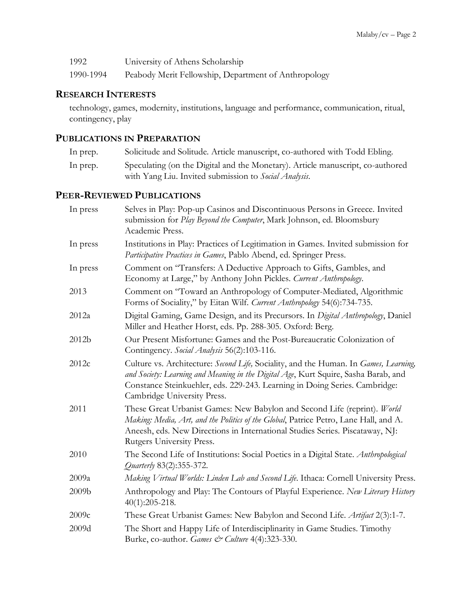| 1992      | University of Athens Scholarship                     |
|-----------|------------------------------------------------------|
| 1990-1994 | Peabody Merit Fellowship, Department of Anthropology |

## **RESEARCH INTERESTS**

technology, games, modernity, institutions, language and performance, communication, ritual, contingency, play

# **PUBLICATIONS IN PREPARATION**

| In prep. | Solicitude and Solitude. Article manuscript, co-authored with Todd Ebling.     |
|----------|--------------------------------------------------------------------------------|
| In prep. | Speculating (on the Digital and the Monetary). Article manuscript, co-authored |
|          | with Yang Liu. Invited submission to Social Analysis.                          |

# **PEER-REVIEWED PUBLICATIONS**

| In press | Selves in Play: Pop-up Casinos and Discontinuous Persons in Greece. Invited<br>submission for Play Beyond the Computer, Mark Johnson, ed. Bloomsbury<br>Academic Press.                                                                                                                  |
|----------|------------------------------------------------------------------------------------------------------------------------------------------------------------------------------------------------------------------------------------------------------------------------------------------|
| In press | Institutions in Play: Practices of Legitimation in Games. Invited submission for<br>Participative Practices in Games, Pablo Abend, ed. Springer Press.                                                                                                                                   |
| In press | Comment on "Transfers: A Deductive Approach to Gifts, Gambles, and<br>Economy at Large," by Anthony John Pickles. Current Anthropology.                                                                                                                                                  |
| 2013     | Comment on "Toward an Anthropology of Computer-Mediated, Algorithmic<br>Forms of Sociality," by Eitan Wilf. Current Anthropology 54(6):734-735.                                                                                                                                          |
| 2012a    | Digital Gaming, Game Design, and its Precursors. In Digital Anthropology, Daniel<br>Miller and Heather Horst, eds. Pp. 288-305. Oxford: Berg.                                                                                                                                            |
| 2012b    | Our Present Misfortune: Games and the Post-Bureaucratic Colonization of<br>Contingency. Social Analysis 56(2):103-116.                                                                                                                                                                   |
| 2012c    | Culture vs. Architecture: Second Life, Sociality, and the Human. In Games, Learning,<br>and Society: Learning and Meaning in the Digital Age, Kurt Squire, Sasha Barab, and<br>Constance Steinkuehler, eds. 229-243. Learning in Doing Series. Cambridge:<br>Cambridge University Press. |
| 2011     | These Great Urbanist Games: New Babylon and Second Life (reprint). World<br>Making: Media, Art, and the Politics of the Global, Patrice Petro, Lane Hall, and A.<br>Aneesh, eds. New Directions in International Studies Series. Piscataway, NJ:<br>Rutgers University Press.            |
| 2010     | The Second Life of Institutions: Social Poetics in a Digital State. Anthropological<br>Quarterly 83(2):355-372.                                                                                                                                                                          |
| 2009a    | Making Virtual Worlds: Linden Lab and Second Life. Ithaca: Cornell University Press.                                                                                                                                                                                                     |
| 2009b    | Anthropology and Play: The Contours of Playful Experience. New Literary History<br>$40(1):205-218.$                                                                                                                                                                                      |
| 2009c    | These Great Urbanist Games: New Babylon and Second Life. Artifact 2(3):1-7.                                                                                                                                                                                                              |
| 2009d    | The Short and Happy Life of Interdisciplinarity in Game Studies. Timothy<br>Burke, co-author. Games & Culture 4(4):323-330.                                                                                                                                                              |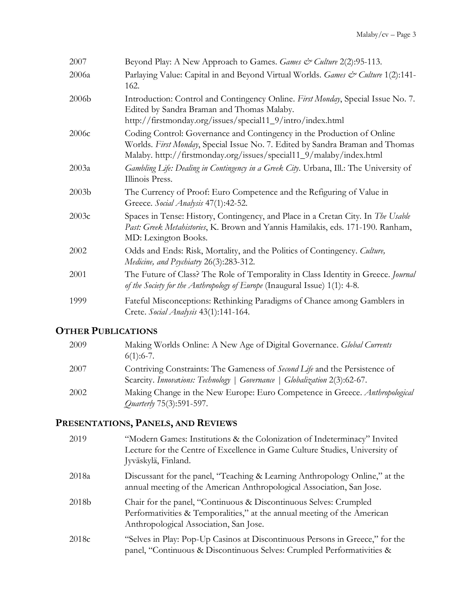| 2007              | Beyond Play: A New Approach to Games. Games & Culture 2(2):95-113.                                                                                                                                                             |
|-------------------|--------------------------------------------------------------------------------------------------------------------------------------------------------------------------------------------------------------------------------|
| 2006a             | Parlaying Value: Capital in and Beyond Virtual Worlds. Games & Culture 1(2):141-<br>162.                                                                                                                                       |
| 2006 <sub>b</sub> | Introduction: Control and Contingency Online. First Monday, Special Issue No. 7.<br>Edited by Sandra Braman and Thomas Malaby.<br>http://firstmonday.org/issues/special11_9/intro/index.html                                   |
| 2006c             | Coding Control: Governance and Contingency in the Production of Online<br>Worlds. First Monday, Special Issue No. 7. Edited by Sandra Braman and Thomas<br>Malaby. http://firstmonday.org/issues/special11_9/malaby/index.html |
| 2003a             | Gambling Life: Dealing in Contingency in a Greek City. Urbana, Ill.: The University of<br>Illinois Press.                                                                                                                      |
| 2003 <sub>b</sub> | The Currency of Proof: Euro Competence and the Refiguring of Value in<br>Greece. Social Analysis 47(1):42-52.                                                                                                                  |
| 2003c             | Spaces in Tense: History, Contingency, and Place in a Cretan City. In The Usable<br>Past: Greek Metahistories, K. Brown and Yannis Hamilakis, eds. 171-190. Ranham,<br>MD: Lexington Books.                                    |
| 2002              | Odds and Ends: Risk, Mortality, and the Politics of Contingency. Culture,<br>Medicine, and Psychiatry 26(3):283-312.                                                                                                           |
| 2001              | The Future of Class? The Role of Temporality in Class Identity in Greece. <i>Journal</i><br>of the Society for the Anthropology of Europe (Inaugural Issue) 1(1): 4-8.                                                         |
| 1999              | Fateful Misconceptions: Rethinking Paradigms of Chance among Gamblers in<br>Crete. Social Analysis 43(1):141-164.                                                                                                              |

# **OTHER PUBLICATIONS**

| 2009 | Making Worlds Online: A New Age of Digital Governance. <i>Global Currents</i> |
|------|-------------------------------------------------------------------------------|
|      | $6(1):6-7.$                                                                   |
| 2007 | Contriving Constraints: The Gameness of Second Life and the Persistence of    |
|      | Scarcity. Innovations: Technology   Governance   Globalization 2(3):62-67.    |
| 2002 | Making Change in the New Europe: Euro Competence in Greece. Anthropological   |
|      | <i>Quarterly</i> 75(3):591-597.                                               |

# **PRESENTATIONS, PANELS, AND REVIEWS**

| 2019              | "Modern Games: Institutions & the Colonization of Indeterminacy" Invited<br>Lecture for the Centre of Excellence in Game Culture Studies, University of<br>Jyväskylä, Finland.          |
|-------------------|-----------------------------------------------------------------------------------------------------------------------------------------------------------------------------------------|
| 2018a             | Discussant for the panel, "Teaching & Learning Anthropology Online," at the<br>annual meeting of the American Anthropological Association, San Jose.                                    |
| 2018b             | Chair for the panel, "Continuous & Discontinuous Selves: Crumpled<br>Performativities & Temporalities," at the annual meeting of the American<br>Anthropological Association, San Jose. |
| 2018 <sub>c</sub> | "Selves in Play: Pop-Up Casinos at Discontinuous Persons in Greece," for the<br>panel, "Continuous & Discontinuous Selves: Crumpled Performativities &                                  |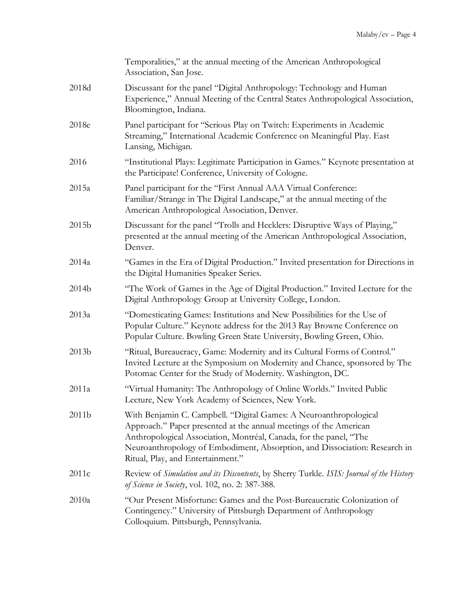|                   | Temporalities," at the annual meeting of the American Anthropological<br>Association, San Jose.                                                                                                                                                                                                                                 |
|-------------------|---------------------------------------------------------------------------------------------------------------------------------------------------------------------------------------------------------------------------------------------------------------------------------------------------------------------------------|
| 2018d             | Discussant for the panel "Digital Anthropology: Technology and Human<br>Experience," Annual Meeting of the Central States Anthropological Association,<br>Bloomington, Indiana.                                                                                                                                                 |
| 2018e             | Panel participant for "Serious Play on Twitch: Experiments in Academic<br>Streaming," International Academic Conference on Meaningful Play. East<br>Lansing, Michigan.                                                                                                                                                          |
| 2016              | "Institutional Plays: Legitimate Participation in Games." Keynote presentation at<br>the Participate! Conference, University of Cologne.                                                                                                                                                                                        |
| 2015a             | Panel participant for the "First Annual AAA Virtual Conference:<br>Familiar/Strange in The Digital Landscape," at the annual meeting of the<br>American Anthropological Association, Denver.                                                                                                                                    |
| 2015b             | Discussant for the panel "Trolls and Hecklers: Disruptive Ways of Playing,"<br>presented at the annual meeting of the American Anthropological Association,<br>Denver.                                                                                                                                                          |
| 2014a             | "Games in the Era of Digital Production." Invited presentation for Directions in<br>the Digital Humanities Speaker Series.                                                                                                                                                                                                      |
| 2014b             | "The Work of Games in the Age of Digital Production." Invited Lecture for the<br>Digital Anthropology Group at University College, London.                                                                                                                                                                                      |
| 2013a             | "Domesticating Games: Institutions and New Possibilities for the Use of<br>Popular Culture." Keynote address for the 2013 Ray Browne Conference on<br>Popular Culture. Bowling Green State University, Bowling Green, Ohio.                                                                                                     |
| 2013b             | "Ritual, Bureaucracy, Game: Modernity and its Cultural Forms of Control."<br>Invited Lecture at the Symposium on Modernity and Chance, sponsored by The<br>Potomac Center for the Study of Modernity. Washington, DC.                                                                                                           |
| 2011a             | "Virtual Humanity: The Anthropology of Online Worlds." Invited Public<br>Lecture, New York Academy of Sciences, New York.                                                                                                                                                                                                       |
| 2011 <sub>b</sub> | With Benjamin C. Campbell. "Digital Games: A Neuroanthropological<br>Approach." Paper presented at the annual meetings of the American<br>Anthropological Association, Montréal, Canada, for the panel, "The<br>Neuroanthropology of Embodiment, Absorption, and Dissociation: Research in<br>Ritual, Play, and Entertainment." |
| 2011c             | Review of Simulation and its Discontents, by Sherry Turkle. ISIS: Journal of the History<br>of Science in Society, vol. 102, no. 2: 387-388.                                                                                                                                                                                    |
| 2010a             | "Our Present Misfortune: Games and the Post-Bureaucratic Colonization of<br>Contingency." University of Pittsburgh Department of Anthropology<br>Colloquium. Pittsburgh, Pennsylvania.                                                                                                                                          |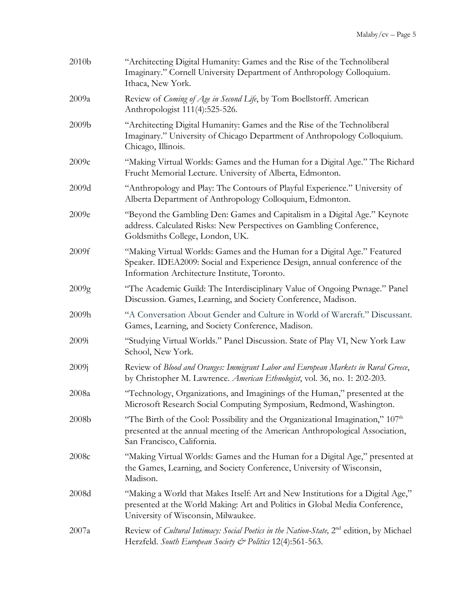| 2010b | "Architecting Digital Humanity: Games and the Rise of the Technoliberal<br>Imaginary." Cornell University Department of Anthropology Colloquium.<br>Ithaca, New York.                                 |
|-------|-------------------------------------------------------------------------------------------------------------------------------------------------------------------------------------------------------|
| 2009a | Review of Coming of Age in Second Life, by Tom Boellstorff. American<br>Anthropologist 111(4):525-526.                                                                                                |
| 2009b | "Architecting Digital Humanity: Games and the Rise of the Technoliberal<br>Imaginary." University of Chicago Department of Anthropology Colloquium.<br>Chicago, Illinois.                             |
| 2009c | "Making Virtual Worlds: Games and the Human for a Digital Age." The Richard<br>Frucht Memorial Lecture. University of Alberta, Edmonton.                                                              |
| 2009d | "Anthropology and Play: The Contours of Playful Experience." University of<br>Alberta Department of Anthropology Colloquium, Edmonton.                                                                |
| 2009e | "Beyond the Gambling Den: Games and Capitalism in a Digital Age." Keynote<br>address. Calculated Risks: New Perspectives on Gambling Conference,<br>Goldsmiths College, London, UK.                   |
| 2009f | "Making Virtual Worlds: Games and the Human for a Digital Age." Featured<br>Speaker. IDEA2009: Social and Experience Design, annual conference of the<br>Information Architecture Institute, Toronto. |
| 2009g | "The Academic Guild: The Interdisciplinary Value of Ongoing Pwnage." Panel<br>Discussion. Games, Learning, and Society Conference, Madison.                                                           |
| 2009h | "A Conversation About Gender and Culture in World of Warcraft." Discussant.<br>Games, Learning, and Society Conference, Madison.                                                                      |
| 2009i | "Studying Virtual Worlds." Panel Discussion. State of Play VI, New York Law<br>School, New York.                                                                                                      |
| 2009j | Review of Blood and Oranges: Immigrant Labor and European Markets in Rural Greece,<br>by Christopher M. Lawrence. American Ethnologist, vol. 36, no. 1: 202-203.                                      |
| 2008a | "Technology, Organizations, and Imaginings of the Human," presented at the<br>Microsoft Research Social Computing Symposium, Redmond, Washington.                                                     |
| 2008b | "The Birth of the Cool: Possibility and the Organizational Imagination," $107th$<br>presented at the annual meeting of the American Anthropological Association,<br>San Francisco, California.        |
| 2008c | "Making Virtual Worlds: Games and the Human for a Digital Age," presented at<br>the Games, Learning, and Society Conference, University of Wisconsin,<br>Madison.                                     |
| 2008d | "Making a World that Makes Itself: Art and New Institutions for a Digital Age,"<br>presented at the World Making: Art and Politics in Global Media Conference,<br>University of Wisconsin, Milwaukee. |
| 2007a | Review of Cultural Intimacy: Social Poetics in the Nation-State, 2 <sup>nd</sup> edition, by Michael<br>Herzfeld. South European Society & Politics 12(4):561-563.                                    |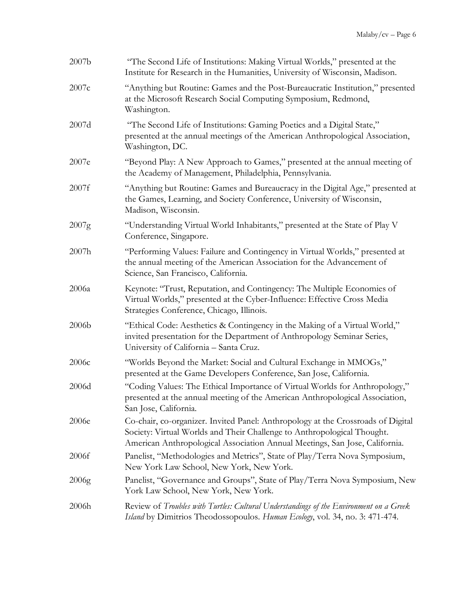| 2007b | "The Second Life of Institutions: Making Virtual Worlds," presented at the<br>Institute for Research in the Humanities, University of Wisconsin, Madison.                                                                                  |
|-------|--------------------------------------------------------------------------------------------------------------------------------------------------------------------------------------------------------------------------------------------|
| 2007c | "Anything but Routine: Games and the Post-Bureaucratic Institution," presented<br>at the Microsoft Research Social Computing Symposium, Redmond,<br>Washington.                                                                            |
| 2007d | "The Second Life of Institutions: Gaming Poetics and a Digital State,"<br>presented at the annual meetings of the American Anthropological Association,<br>Washington, DC.                                                                 |
| 2007e | "Beyond Play: A New Approach to Games," presented at the annual meeting of<br>the Academy of Management, Philadelphia, Pennsylvania.                                                                                                       |
| 2007f | "Anything but Routine: Games and Bureaucracy in the Digital Age," presented at<br>the Games, Learning, and Society Conference, University of Wisconsin,<br>Madison, Wisconsin.                                                             |
| 2007g | "Understanding Virtual World Inhabitants," presented at the State of Play V<br>Conference, Singapore.                                                                                                                                      |
| 2007h | "Performing Values: Failure and Contingency in Virtual Worlds," presented at<br>the annual meeting of the American Association for the Advancement of<br>Science, San Francisco, California.                                               |
| 2006a | Keynote: "Trust, Reputation, and Contingency: The Multiple Economies of<br>Virtual Worlds," presented at the Cyber-Influence: Effective Cross Media<br>Strategies Conference, Chicago, Illinois.                                           |
| 2006b | "Ethical Code: Aesthetics & Contingency in the Making of a Virtual World,"<br>invited presentation for the Department of Anthropology Seminar Series,<br>University of California - Santa Cruz.                                            |
| 2006c | "Worlds Beyond the Market: Social and Cultural Exchange in MMOGs,"<br>presented at the Game Developers Conference, San Jose, California.                                                                                                   |
| 2006d | "Coding Values: The Ethical Importance of Virtual Worlds for Anthropology,"<br>presented at the annual meeting of the American Anthropological Association,<br>San Jose, California.                                                       |
| 2006e | Co-chair, co-organizer. Invited Panel: Anthropology at the Crossroads of Digital<br>Society: Virtual Worlds and Their Challenge to Anthropological Thought.<br>American Anthropological Association Annual Meetings, San Jose, California. |
| 2006f | Panelist, "Methodologies and Metrics", State of Play/Terra Nova Symposium,<br>New York Law School, New York, New York.                                                                                                                     |
| 2006g | Panelist, "Governance and Groups", State of Play/Terra Nova Symposium, New<br>York Law School, New York, New York.                                                                                                                         |
| 2006h | Review of Troubles with Turtles: Cultural Understandings of the Environment on a Greek<br>Island by Dimitrios Theodossopoulos. Human Ecology, vol. 34, no. 3: 471-474.                                                                     |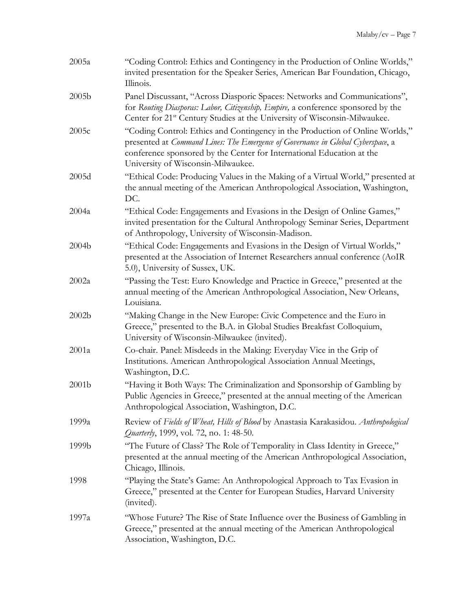| 2005a             | "Coding Control: Ethics and Contingency in the Production of Online Worlds,"<br>invited presentation for the Speaker Series, American Bar Foundation, Chicago,<br>Illinois.                                                                                                    |
|-------------------|--------------------------------------------------------------------------------------------------------------------------------------------------------------------------------------------------------------------------------------------------------------------------------|
| 2005 <sub>b</sub> | Panel Discussant, "Across Diasporic Spaces: Networks and Communications",<br>for Routing Diasporas: Labor, Citizenship, Empire, a conference sponsored by the<br>Center for 21 <sup>st</sup> Century Studies at the University of Wisconsin-Milwaukee.                         |
| 2005c             | "Coding Control: Ethics and Contingency in the Production of Online Worlds,"<br>presented at Command Lines: The Emergence of Governance in Global Cyberspace, a<br>conference sponsored by the Center for International Education at the<br>University of Wisconsin-Milwaukee. |
| 2005d             | "Ethical Code: Producing Values in the Making of a Virtual World," presented at<br>the annual meeting of the American Anthropological Association, Washington,<br>DC.                                                                                                          |
| 2004a             | "Ethical Code: Engagements and Evasions in the Design of Online Games,"<br>invited presentation for the Cultural Anthropology Seminar Series, Department<br>of Anthropology, University of Wisconsin-Madison.                                                                  |
| 2004b             | "Ethical Code: Engagements and Evasions in the Design of Virtual Worlds,"<br>presented at the Association of Internet Researchers annual conference (AoIR<br>5.0), University of Sussex, UK.                                                                                   |
| 2002a             | "Passing the Test: Euro Knowledge and Practice in Greece," presented at the<br>annual meeting of the American Anthropological Association, New Orleans,<br>Louisiana.                                                                                                          |
| 2002 <sub>b</sub> | "Making Change in the New Europe: Civic Competence and the Euro in<br>Greece," presented to the B.A. in Global Studies Breakfast Colloquium,<br>University of Wisconsin-Milwaukee (invited).                                                                                   |
| 2001a             | Co-chair. Panel: Misdeeds in the Making: Everyday Vice in the Grip of<br>Institutions. American Anthropological Association Annual Meetings,<br>Washington, D.C.                                                                                                               |
| 2001 <sub>b</sub> | "Having it Both Ways: The Criminalization and Sponsorship of Gambling by<br>Public Agencies in Greece," presented at the annual meeting of the American<br>Anthropological Association, Washington, D.C.                                                                       |
| 1999a             | Review of Fields of Wheat, Hills of Blood by Anastasia Karakasidou. Anthropological<br><i>Quarterly</i> , 1999, vol. 72, no. 1: 48-50.                                                                                                                                         |
| 1999b             | "The Future of Class? The Role of Temporality in Class Identity in Greece,"<br>presented at the annual meeting of the American Anthropological Association,<br>Chicago, Illinois.                                                                                              |
| 1998              | "Playing the State's Game: An Anthropological Approach to Tax Evasion in<br>Greece," presented at the Center for European Studies, Harvard University<br>(invited).                                                                                                            |
| 1997a             | "Whose Future? The Rise of State Influence over the Business of Gambling in<br>Greece," presented at the annual meeting of the American Anthropological<br>Association, Washington, D.C.                                                                                       |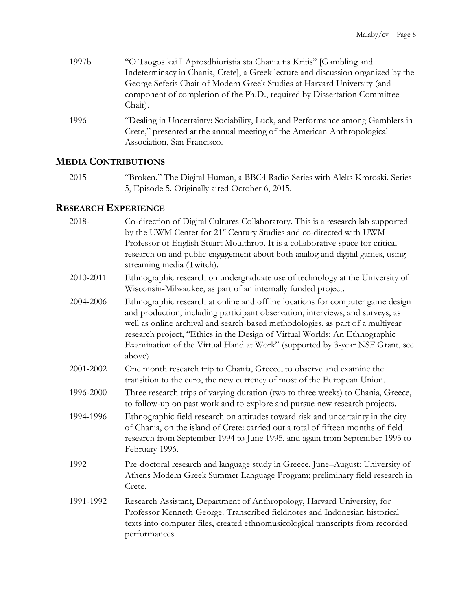| 1997b | "O Tsogos kai I Aprosdhioristia sta Chania tis Kritis" [Gambling and                                                                                                                    |
|-------|-----------------------------------------------------------------------------------------------------------------------------------------------------------------------------------------|
|       | Indeterminacy in Chania, Cretel, a Greek lecture and discussion organized by the                                                                                                        |
|       | George Seferis Chair of Modern Greek Studies at Harvard University (and                                                                                                                 |
|       | component of completion of the Ph.D., required by Dissertation Committee<br>Chair).                                                                                                     |
| 1996  | "Dealing in Uncertainty: Sociability, Luck, and Performance among Gamblers in<br>Crete," presented at the annual meeting of the American Anthropological<br>Association, San Francisco. |

## **MEDIA CONTRIBUTIONS**

2015 "Broken." The Digital Human, a BBC4 Radio Series with Aleks Krotoski. Series 5, Episode 5. Originally aired October 6, 2015.

# **RESEARCH EXPERIENCE**

| Co-direction of Digital Cultures Collaboratory. This is a research lab supported<br>by the UWM Center for 21 <sup>st</sup> Century Studies and co-directed with UWM<br>Professor of English Stuart Moulthrop. It is a collaborative space for critical<br>research on and public engagement about both analog and digital games, using<br>streaming media (Twitch).                                                        |
|----------------------------------------------------------------------------------------------------------------------------------------------------------------------------------------------------------------------------------------------------------------------------------------------------------------------------------------------------------------------------------------------------------------------------|
| Ethnographic research on undergraduate use of technology at the University of<br>Wisconsin-Milwaukee, as part of an internally funded project.                                                                                                                                                                                                                                                                             |
| Ethnographic research at online and offline locations for computer game design<br>and production, including participant observation, interviews, and surveys, as<br>well as online archival and search-based methodologies, as part of a multiyear<br>research project, "Ethics in the Design of Virtual Worlds: An Ethnographic<br>Examination of the Virtual Hand at Work" (supported by 3-year NSF Grant, see<br>above) |
| One month research trip to Chania, Greece, to observe and examine the<br>transition to the euro, the new currency of most of the European Union.                                                                                                                                                                                                                                                                           |
| Three research trips of varying duration (two to three weeks) to Chania, Greece,<br>to follow-up on past work and to explore and pursue new research projects.                                                                                                                                                                                                                                                             |
| Ethnographic field research on attitudes toward risk and uncertainty in the city<br>of Chania, on the island of Crete: carried out a total of fifteen months of field<br>research from September 1994 to June 1995, and again from September 1995 to<br>February 1996.                                                                                                                                                     |
| Pre-doctoral research and language study in Greece, June-August: University of<br>Athens Modern Greek Summer Language Program; preliminary field research in<br>Crete.                                                                                                                                                                                                                                                     |
| Research Assistant, Department of Anthropology, Harvard University, for<br>Professor Kenneth George. Transcribed fieldnotes and Indonesian historical<br>texts into computer files, created ethnomusicological transcripts from recorded<br>performances.                                                                                                                                                                  |
|                                                                                                                                                                                                                                                                                                                                                                                                                            |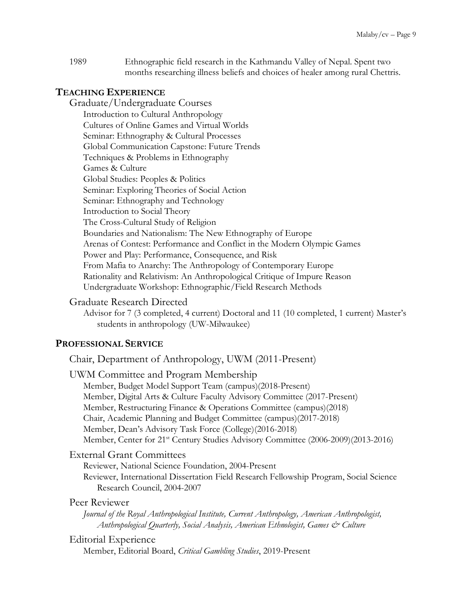1989 Ethnographic field research in the Kathmandu Valley of Nepal. Spent two months researching illness beliefs and choices of healer among rural Chettris.

### **TEACHING EXPERIENCE**

Graduate/Undergraduate Courses Introduction to Cultural Anthropology Cultures of Online Games and Virtual Worlds Seminar: Ethnography & Cultural Processes Global Communication Capstone: Future Trends Techniques & Problems in Ethnography Games & Culture Global Studies: Peoples & Politics Seminar: Exploring Theories of Social Action Seminar: Ethnography and Technology Introduction to Social Theory The Cross-Cultural Study of Religion Boundaries and Nationalism: The New Ethnography of Europe Arenas of Contest: Performance and Conflict in the Modern Olympic Games Power and Play: Performance, Consequence, and Risk From Mafia to Anarchy: The Anthropology of Contemporary Europe Rationality and Relativism: An Anthropological Critique of Impure Reason Undergraduate Workshop: Ethnographic/Field Research Methods

### Graduate Research Directed

Advisor for 7 (3 completed, 4 current) Doctoral and 11 (10 completed, 1 current) Master's students in anthropology (UW-Milwaukee)

### **PROFESSIONAL SERVICE**

Chair, Department of Anthropology, UWM (2011-Present)

| UWM Committee and Program Membership                                                                                                                                                |
|-------------------------------------------------------------------------------------------------------------------------------------------------------------------------------------|
| Member, Budget Model Support Team (campus)(2018-Present)                                                                                                                            |
| Member, Digital Arts & Culture Faculty Advisory Committee (2017-Present)                                                                                                            |
| Member, Restructuring Finance & Operations Committee (campus)(2018)                                                                                                                 |
| Chair, Academic Planning and Budget Committee (campus)(2017-2018)                                                                                                                   |
| Member, Dean's Advisory Task Force (College) (2016-2018)                                                                                                                            |
| Member, Center for 21 <sup>st</sup> Century Studies Advisory Committee (2006-2009)(2013-2016)                                                                                       |
| <b>External Grant Committees</b>                                                                                                                                                    |
| Reviewer, National Science Foundation, 2004-Present                                                                                                                                 |
| Reviewer, International Dissertation Field Research Fellowship Program, Social Science                                                                                              |
| Research Council, 2004-2007                                                                                                                                                         |
| Peer Reviewer                                                                                                                                                                       |
| Journal of the Royal Anthropological Institute, Current Anthropology, American Anthropologist,<br>Anthropological Quarterly, Social Analysis, American Ethnologist, Games & Culture |
|                                                                                                                                                                                     |

### Editorial Experience

Member, Editorial Board, *Critical Gambling Studies*, 2019-Present